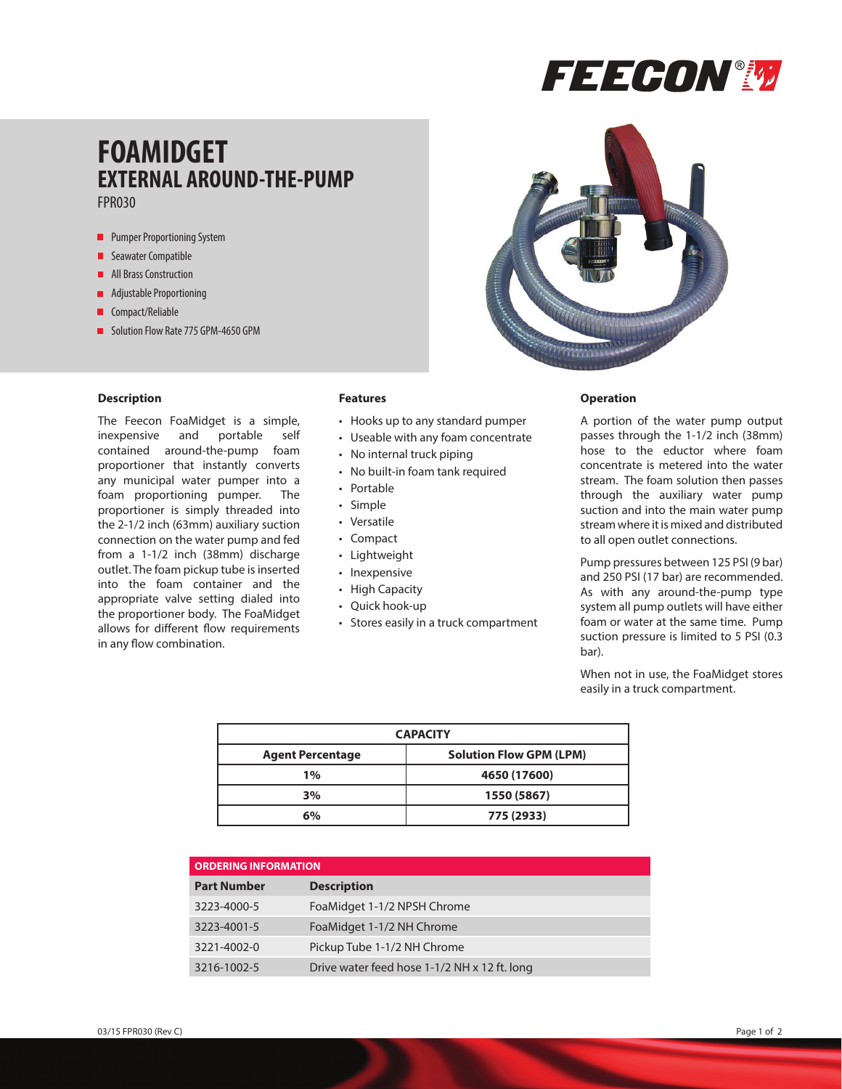

## **FOAMIDGET EXTERNAL AROUND-THE-PUMP** FPR030

- **Pumper Proportioning System**
- **Seawater Compatible**
- **All Brass Construction**
- **Adjustable Proportioning**
- **Compact/Reliable**
- Solution Flow Rate 775 GPM-4650 GPM

### **Description**

The Feecon FoaMidget is a simple, inexpensive and portable self contained around-the-pump foam proportioner that instantly converts any municipal water pumper into a foam proportioning pumper. The proportioner is simply threaded into the 2-1/2 inch (63mm) auxiliary suction connection on the water pump and fed from a 1-1/2 inch (38mm) discharge outlet. The foam pickup tube is inserted into the foam container and the appropriate valve setting dialed into the proportioner body. The FoaMidget allows for different flow requirements in any flow combination.

### **Features**

- Hooks up to any standard pumper
- Useable with any foam concentrate
- No internal truck piping
- No built-in foam tank required
- Portable
- Simple
- Versatile
- Compact
- Lightweight
- Inexpensive
- High Capacity
- Quick hook-up
- Stores easily in a truck compartment

#### **Operation**

A portion of the water pump output passes through the 1-1/2 inch (38mm) hose to the eductor where foam concentrate is metered into the water stream. The foam solution then passes through the auxiliary water pump suction and into the main water pump stream where it is mixed and distributed to all open outlet connections.

Pump pressures between 125 PSI (9 bar) and 250 PSI (17 bar) are recommended. As with any around-the-pump type system all pump outlets will have either foam or water at the same time. Pump suction pressure is limited to 5 PSI (0.3 bar).

When not in use, the FoaMidget stores easily in a truck compartment.

| <b>CAPACITY</b>         |                                |
|-------------------------|--------------------------------|
| <b>Agent Percentage</b> | <b>Solution Flow GPM (LPM)</b> |
| $1\%$                   | 4650 (17600)                   |
| 3%                      | 1550 (5867)                    |
| 6%                      | 775 (2933)                     |

| <b>ORDERING INFORMATION</b> |                                              |
|-----------------------------|----------------------------------------------|
| <b>Part Number</b>          | <b>Description</b>                           |
| 3223-4000-5                 | FoaMidget 1-1/2 NPSH Chrome                  |
| 3223-4001-5                 | FoaMidget 1-1/2 NH Chrome                    |
| 3221-4002-0                 | Pickup Tube 1-1/2 NH Chrome                  |
| 3216-1002-5                 | Drive water feed hose 1-1/2 NH x 12 ft. long |